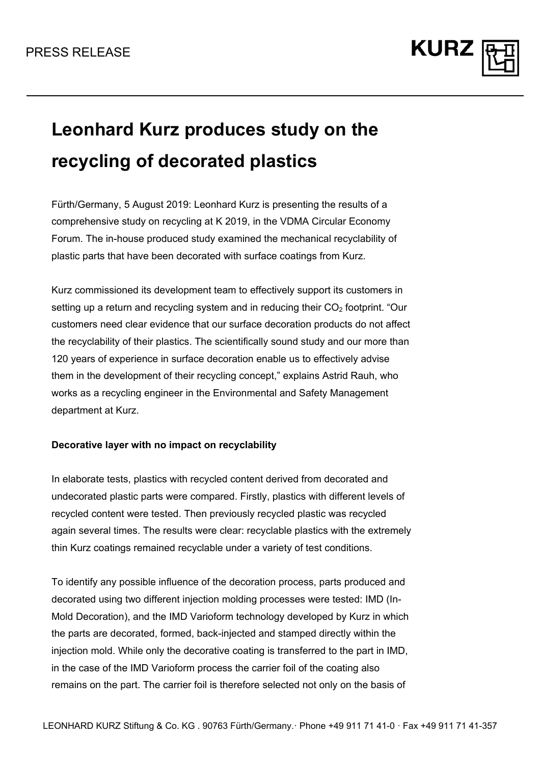

# **Leonhard Kurz produces study on the recycling of decorated plastics**

Fürth/Germany, 5 August 2019: Leonhard Kurz is presenting the results of a comprehensive study on recycling at K 2019, in the VDMA Circular Economy Forum. The in-house produced study examined the mechanical recyclability of plastic parts that have been decorated with surface coatings from Kurz.

Kurz commissioned its development team to effectively support its customers in setting up a return and recycling system and in reducing their  $CO<sub>2</sub>$  footprint. "Our customers need clear evidence that our surface decoration products do not affect the recyclability of their plastics. The scientifically sound study and our more than 120 years of experience in surface decoration enable us to effectively advise them in the development of their recycling concept," explains Astrid Rauh, who works as a recycling engineer in the Environmental and Safety Management department at Kurz.

## **Decorative layer with no impact on recyclability**

In elaborate tests, plastics with recycled content derived from decorated and undecorated plastic parts were compared. Firstly, plastics with different levels of recycled content were tested. Then previously recycled plastic was recycled again several times. The results were clear: recyclable plastics with the extremely thin Kurz coatings remained recyclable under a variety of test conditions.

To identify any possible influence of the decoration process, parts produced and decorated using two different injection molding processes were tested: IMD (In-Mold Decoration), and the IMD Varioform technology developed by Kurz in which the parts are decorated, formed, back-injected and stamped directly within the injection mold. While only the decorative coating is transferred to the part in IMD, in the case of the IMD Varioform process the carrier foil of the coating also remains on the part. The carrier foil is therefore selected not only on the basis of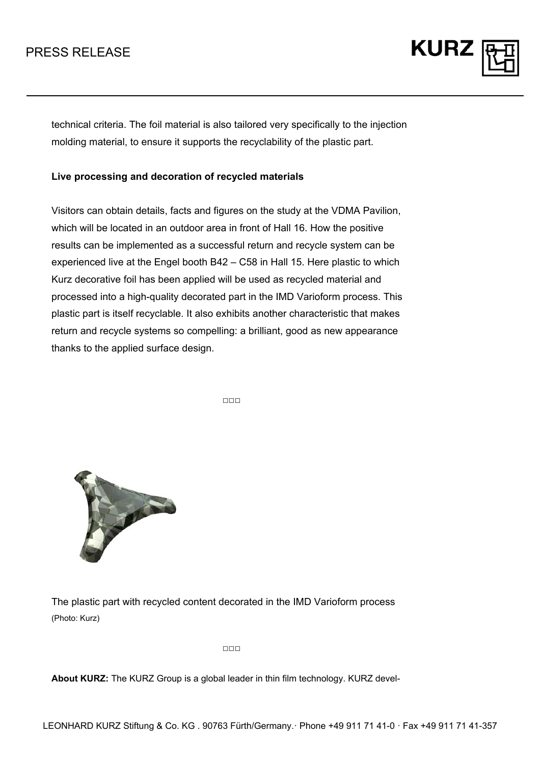

technical criteria. The foil material is also tailored very specifically to the injection molding material, to ensure it supports the recyclability of the plastic part.

## **Live processing and decoration of recycled materials**

Visitors can obtain details, facts and figures on the study at the VDMA Pavilion, which will be located in an outdoor area in front of Hall 16. How the positive results can be implemented as a successful return and recycle system can be experienced live at the Engel booth B42 – C58 in Hall 15. Here plastic to which Kurz decorative foil has been applied will be used as recycled material and processed into a high-quality decorated part in the IMD Varioform process. This plastic part is itself recyclable. It also exhibits another characteristic that makes return and recycle systems so compelling: a brilliant, good as new appearance thanks to the applied surface design.

□□□



The plastic part with recycled content decorated in the IMD Varioform process (Photo: Kurz)

 $\Box \Box \Box$ 

**About KURZ:** The KURZ Group is a global leader in thin film technology. KURZ devel-